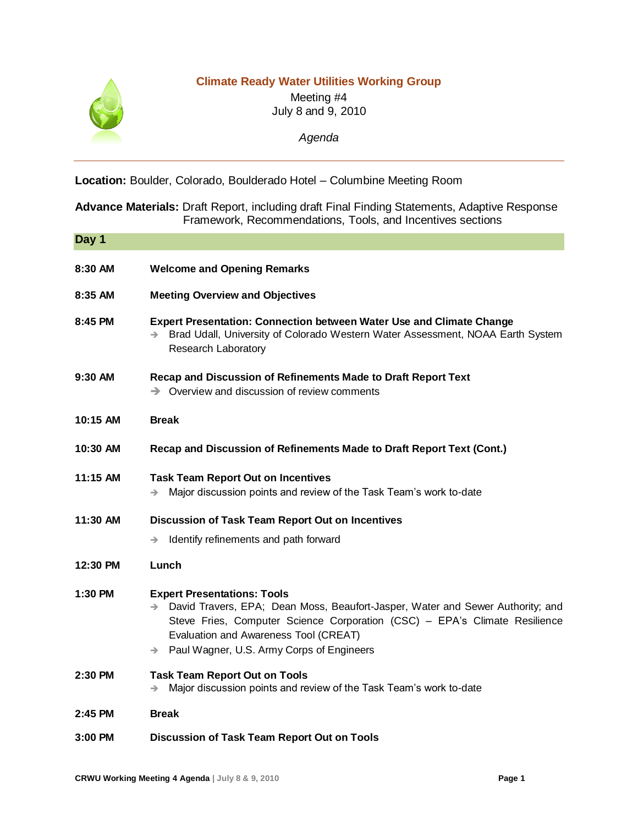

## **Climate Ready Water Utilities Working Group**

Meeting #4 July 8 and 9, 2010

*Agenda*

**Location:** Boulder, Colorado, Boulderado Hotel – Columbine Meeting Room

**Advance Materials:** Draft Report, including draft Final Finding Statements, Adaptive Response Framework, Recommendations, Tools, and Incentives sections

| Day 1     |                                                                                                                                                                                                                                                                                                             |
|-----------|-------------------------------------------------------------------------------------------------------------------------------------------------------------------------------------------------------------------------------------------------------------------------------------------------------------|
| 8:30 AM   | <b>Welcome and Opening Remarks</b>                                                                                                                                                                                                                                                                          |
| 8:35 AM   | <b>Meeting Overview and Objectives</b>                                                                                                                                                                                                                                                                      |
| 8:45 PM   | <b>Expert Presentation: Connection between Water Use and Climate Change</b><br>Brad Udall, University of Colorado Western Water Assessment, NOAA Earth System<br>Research Laboratory                                                                                                                        |
| $9:30$ AM | Recap and Discussion of Refinements Made to Draft Report Text<br>$\rightarrow$ Overview and discussion of review comments                                                                                                                                                                                   |
| 10:15 AM  | <b>Break</b>                                                                                                                                                                                                                                                                                                |
| 10:30 AM  | Recap and Discussion of Refinements Made to Draft Report Text (Cont.)                                                                                                                                                                                                                                       |
| 11:15 AM  | <b>Task Team Report Out on Incentives</b><br>Major discussion points and review of the Task Team's work to-date<br>→                                                                                                                                                                                        |
| 11:30 AM  | <b>Discussion of Task Team Report Out on Incentives</b>                                                                                                                                                                                                                                                     |
|           | Identify refinements and path forward<br>→                                                                                                                                                                                                                                                                  |
| 12:30 PM  | Lunch                                                                                                                                                                                                                                                                                                       |
| $1:30$ PM | <b>Expert Presentations: Tools</b><br>David Travers, EPA; Dean Moss, Beaufort-Jasper, Water and Sewer Authority; and<br>$\rightarrow$<br>Steve Fries, Computer Science Corporation (CSC) - EPA's Climate Resilience<br>Evaluation and Awareness Tool (CREAT)<br>→ Paul Wagner, U.S. Army Corps of Engineers |
| 2:30 PM   | <b>Task Team Report Out on Tools</b><br>Major discussion points and review of the Task Team's work to-date<br>$\rightarrow$                                                                                                                                                                                 |
| $2:45$ PM | <b>Break</b>                                                                                                                                                                                                                                                                                                |
| 3:00 PM   | <b>Discussion of Task Team Report Out on Tools</b>                                                                                                                                                                                                                                                          |